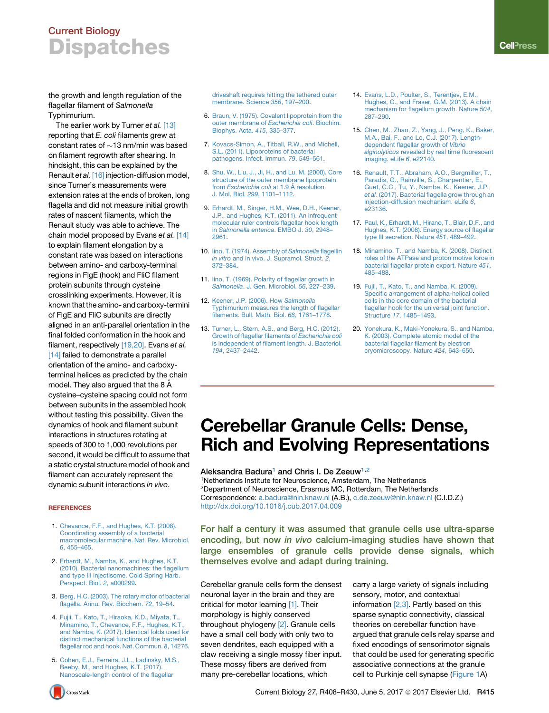## Current Biology **Dispatches**

the growth and length regulation of the flagellar filament of *Salmonella* Typhimurium.

The earlier work by Turner *et al.* [\[13\]](#page-0-0) reporting that *E. coli* filaments grew at constant rates of  $\sim$  13 nm/min was based on filament regrowth after shearing. In hindsight, this can be explained by the Renault *et al.* [\[16\]](#page-0-1) injection-diffusion model, since Turner's measurements were extension rates at the ends of broken, long flagella and did not measure initial growth rates of nascent filaments, which the Renault study was able to achieve. The chain model proposed by Evans *et al.* [\[14\]](#page-0-2) to explain filament elongation by a constant rate was based on interactions between amino- and carboxy-terminal regions in FlgE (hook) and FliC filament protein subunits through cysteine crosslinking experiments. However, it is known that the amino- and carboxy-termini of FlgE and FliC subunits are directly aligned in an anti-parallel orientation in the final folded conformation in the hook and filament, respectively [\[19,20\]](#page-0-3). Evans *et al.* [\[14\]](#page-0-2) failed to demonstrate a parallel orientation of the amino- and carboxyterminal helices as predicted by the chain model. They also argued that the 8  $\AA$ cysteine–cysteine spacing could not form between subunits in the assembled hook without testing this possibility. Given the dynamics of hook and filament subunit interactions in structures rotating at speeds of 300 to 1,000 revolutions per second, it would be difficult to assume that a static crystal structure model of hook and filament can accurately represent the dynamic subunit interactions *in vivo*.

#### **REFERENCES**

- 1. [Chevance, F.F., and Hughes, K.T. \(2008\).](http://refhub.elsevier.com/S0960-9822(17)30417-7/sref1) [Coordinating assembly of a bacterial](http://refhub.elsevier.com/S0960-9822(17)30417-7/sref1) [macromolecular machine. Nat. Rev. Microbiol.](http://refhub.elsevier.com/S0960-9822(17)30417-7/sref1) *6*[, 455–465](http://refhub.elsevier.com/S0960-9822(17)30417-7/sref1).
- 2. [Erhardt, M., Namba, K., and Hughes, K.T.](http://refhub.elsevier.com/S0960-9822(17)30417-7/sref2) [\(2010\). Bacterial nanomachines: the flagellum](http://refhub.elsevier.com/S0960-9822(17)30417-7/sref2) [and type III injectisome. Cold Spring Harb.](http://refhub.elsevier.com/S0960-9822(17)30417-7/sref2) [Perspect. Biol.](http://refhub.elsevier.com/S0960-9822(17)30417-7/sref2) *2*, a000299.
- 3. [Berg, H.C. \(2003\). The rotary motor of bacterial](http://refhub.elsevier.com/S0960-9822(17)30417-7/sref3) [flagella. Annu. Rev. Biochem.](http://refhub.elsevier.com/S0960-9822(17)30417-7/sref3) *72*, 19–54.
- 4. [Fujii, T., Kato, T., Hiraoka, K.D., Miyata, T.,](http://refhub.elsevier.com/S0960-9822(17)30417-7/sref4) [Minamino, T., Chevance, F.F., Hughes, K.T.,](http://refhub.elsevier.com/S0960-9822(17)30417-7/sref4) [and Namba, K. \(2017\). Identical folds used for](http://refhub.elsevier.com/S0960-9822(17)30417-7/sref4) [distinct mechanical functions of the bacterial](http://refhub.elsevier.com/S0960-9822(17)30417-7/sref4) [flagellar rod and hook. Nat. Commun.](http://refhub.elsevier.com/S0960-9822(17)30417-7/sref4) *8*, 14276.
- 5. [Cohen, E.J., Ferreira, J.L., Ladinsky, M.S.,](http://refhub.elsevier.com/S0960-9822(17)30417-7/sref5) [Beeby, M., and Hughes, K.T. \(2017\).](http://refhub.elsevier.com/S0960-9822(17)30417-7/sref5) [Nanoscale-length control of the flagellar](http://refhub.elsevier.com/S0960-9822(17)30417-7/sref5)

[driveshaft requires hitting the tethered outer](http://refhub.elsevier.com/S0960-9822(17)30417-7/sref5) [membrane. Science](http://refhub.elsevier.com/S0960-9822(17)30417-7/sref5) *356*, 197–200.

- 6. [Braun, V. \(1975\). Covalent lipoprotein from the](http://refhub.elsevier.com/S0960-9822(17)30417-7/sref6) [outer membrane of](http://refhub.elsevier.com/S0960-9822(17)30417-7/sref6) *Escherichia coli*. Biochim. [Biophys. Acta.](http://refhub.elsevier.com/S0960-9822(17)30417-7/sref6) *415*, 335–377.
- 7. [Kovacs-Simon, A., Titball, R.W., and Michell,](http://refhub.elsevier.com/S0960-9822(17)30417-7/sref7) [S.L. \(2011\). Lipoproteins of bacterial](http://refhub.elsevier.com/S0960-9822(17)30417-7/sref7) [pathogens. Infect. Immun.](http://refhub.elsevier.com/S0960-9822(17)30417-7/sref7) *79*, 549–561.
- 8. [Shu, W., Liu, J., Ji, H., and Lu, M. \(2000\). Core](http://refhub.elsevier.com/S0960-9822(17)30417-7/sref8) [structure of the outer membrane lipoprotein](http://refhub.elsevier.com/S0960-9822(17)30417-7/sref8) from *Escherichia coli* at 1.9 Å [resolution.](http://refhub.elsevier.com/S0960-9822(17)30417-7/sref8) J. Mol. Biol. *299*[, 1101–1112.](http://refhub.elsevier.com/S0960-9822(17)30417-7/sref8)
- 9. [Erhardt, M., Singer, H.M., Wee, D.H., Keener,](http://refhub.elsevier.com/S0960-9822(17)30417-7/sref9) [J.P., and Hughes, K.T. \(2011\). An infrequent](http://refhub.elsevier.com/S0960-9822(17)30417-7/sref9) [molecular ruler controls flagellar hook length](http://refhub.elsevier.com/S0960-9822(17)30417-7/sref9) in *Salmonella enterica*[. EMBO J.](http://refhub.elsevier.com/S0960-9822(17)30417-7/sref9) *30*, 2948– [2961.](http://refhub.elsevier.com/S0960-9822(17)30417-7/sref9)
- 10. [Iino, T. \(1974\). Assembly of](http://refhub.elsevier.com/S0960-9822(17)30417-7/sref10) *Salmonella* flagellin *in vitro* [and in vivo. J. Supramol. Struct.](http://refhub.elsevier.com/S0960-9822(17)30417-7/sref10) *2*, [372–384.](http://refhub.elsevier.com/S0960-9822(17)30417-7/sref10)
- 11. [Iino, T. \(1969\). Polarity of flagellar growth in](http://refhub.elsevier.com/S0960-9822(17)30417-7/sref11) *Salmonella*[. J. Gen. Microbiol.](http://refhub.elsevier.com/S0960-9822(17)30417-7/sref11) *56*, 227–239.
- 12. [Keener, J.P. \(2006\). How](http://refhub.elsevier.com/S0960-9822(17)30417-7/sref12) *Salmonella* [Typhimurium measures the length of flagellar](http://refhub.elsevier.com/S0960-9822(17)30417-7/sref12) [filaments. Bull. Math. Biol.](http://refhub.elsevier.com/S0960-9822(17)30417-7/sref12) *68*, 1761–1778.
- <span id="page-0-0"></span>13. [Turner, L., Stern, A.S., and Berg, H.C. \(2012\).](http://refhub.elsevier.com/S0960-9822(17)30417-7/sref13) [Growth of flagellar filaments of](http://refhub.elsevier.com/S0960-9822(17)30417-7/sref13) *Escherichia coli* [is independent of filament length. J. Bacteriol.](http://refhub.elsevier.com/S0960-9822(17)30417-7/sref13) *194*[, 2437–2442.](http://refhub.elsevier.com/S0960-9822(17)30417-7/sref13)
- <span id="page-0-2"></span>14. [Evans, L.D., Poulter, S., Terentjev, E.M.,](http://refhub.elsevier.com/S0960-9822(17)30417-7/sref14) [Hughes, C., and Fraser, G.M. \(2013\). A chain](http://refhub.elsevier.com/S0960-9822(17)30417-7/sref14) [mechanism for flagellum growth. Nature](http://refhub.elsevier.com/S0960-9822(17)30417-7/sref14) *504*, [287–290](http://refhub.elsevier.com/S0960-9822(17)30417-7/sref14).
- 15. [Chen, M., Zhao, Z., Yang, J., Peng, K., Baker,](http://refhub.elsevier.com/S0960-9822(17)30417-7/sref15) [M.A., Bai, F., and Lo, C.J. \(2017\). Length](http://refhub.elsevier.com/S0960-9822(17)30417-7/sref15)[dependent flagellar growth of](http://refhub.elsevier.com/S0960-9822(17)30417-7/sref15) *Vibrio alginolyticus* [revealed by real time fluorescent](http://refhub.elsevier.com/S0960-9822(17)30417-7/sref15) [imaging. eLife](http://refhub.elsevier.com/S0960-9822(17)30417-7/sref15) *6*, e22140.
- <span id="page-0-1"></span>16. [Renault, T.T., Abraham, A.O., Bergmiller, T.,](http://refhub.elsevier.com/S0960-9822(17)30417-7/sref16) [Paradis, G., Rainville, S., Charpentier, E.,](http://refhub.elsevier.com/S0960-9822(17)30417-7/sref16) [Guet, C.C., Tu, Y., Namba, K., Keener, J.P.,](http://refhub.elsevier.com/S0960-9822(17)30417-7/sref16) *et al*[. \(2017\). Bacterial flagella grow through an](http://refhub.elsevier.com/S0960-9822(17)30417-7/sref16) [injection-diffusion mechanism. eLife](http://refhub.elsevier.com/S0960-9822(17)30417-7/sref16) *<sup>6</sup>*, [e23136](http://refhub.elsevier.com/S0960-9822(17)30417-7/sref16).
- 17. [Paul, K., Erhardt, M., Hirano, T., Blair, D.F., and](http://refhub.elsevier.com/S0960-9822(17)30417-7/sref17) [Hughes, K.T. \(2008\). Energy source of flagellar](http://refhub.elsevier.com/S0960-9822(17)30417-7/sref17) [type III secretion. Nature](http://refhub.elsevier.com/S0960-9822(17)30417-7/sref17) *451*, 489–492.
- 18. [Minamino, T., and Namba, K. \(2008\). Distinct](http://refhub.elsevier.com/S0960-9822(17)30417-7/sref18) [roles of the ATPase and proton motive force in](http://refhub.elsevier.com/S0960-9822(17)30417-7/sref18) [bacterial flagellar protein export. Nature](http://refhub.elsevier.com/S0960-9822(17)30417-7/sref18) *451*, [485–488](http://refhub.elsevier.com/S0960-9822(17)30417-7/sref18).
- <span id="page-0-3"></span>19. [Fujii, T., Kato, T., and Namba, K. \(2009\).](http://refhub.elsevier.com/S0960-9822(17)30417-7/sref19) [Specific arrangement of alpha-helical coiled](http://refhub.elsevier.com/S0960-9822(17)30417-7/sref19) [coils in the core domain of the bacterial](http://refhub.elsevier.com/S0960-9822(17)30417-7/sref19) [flagellar hook for the universal joint function.](http://refhub.elsevier.com/S0960-9822(17)30417-7/sref19) Structure *17*[, 1485–1493](http://refhub.elsevier.com/S0960-9822(17)30417-7/sref19).
- 20. [Yonekura, K., Maki-Yonekura, S., and Namba,](http://refhub.elsevier.com/S0960-9822(17)30417-7/sref20) [K. \(2003\). Complete atomic model of the](http://refhub.elsevier.com/S0960-9822(17)30417-7/sref20) [bacterial flagellar filament by electron](http://refhub.elsevier.com/S0960-9822(17)30417-7/sref20) [cryomicroscopy. Nature](http://refhub.elsevier.com/S0960-9822(17)30417-7/sref20) *424*, 643–650.

# Cerebellar Granule Cells: Dense, Rich and Evolving Representations

#### Aleksandra Badura<sup>[1](#page-0-4)</sup> and Chris I. De Zeeuw<sup>[1,](#page-0-4)[2](#page-0-5)</sup>

<span id="page-0-5"></span><span id="page-0-4"></span><sup>1</sup>Netherlands Institute for Neuroscience, Amsterdam, The Netherlands 2Department of Neuroscience, Erasmus MC, Rotterdam, The Netherlands Correspondence: [a.badura@nin.knaw.nl](mailto:a.badura@nin.knaw.nl) (A.B.), [c.de.zeeuw@nin.knaw.nl](mailto:c.de.zeeuw@nin.knaw.nl) (C.I.D.Z.) <http://dx.doi.org/10.1016/j.cub.2017.04.009>

For half a century it was assumed that granule cells use ultra-sparse encoding, but now in vivo calcium-imaging studies have shown that large ensembles of granule cells provide dense signals, which themselves evolve and adapt during training.

Cerebellar granule cells form the densest neuronal layer in the brain and they are critical for motor learning [\[1\]](#page-3-0). Their morphology is highly conserved throughout phylogeny [\[2\].](#page-3-1) Granule cells have a small cell body with only two to seven dendrites, each equipped with a claw receiving a single mossy fiber input. These mossy fibers are derived from many pre-cerebellar locations, which

carry a large variety of signals including sensory, motor, and contextual information  $[2,3]$ . Partly based on this sparse synaptic connectivity, classical theories on cerebellar function have argued that granule cells relay sparse and fixed encodings of sensorimotor signals that could be used for generating specific associative connections at the granule cell to Purkinje cell synapse [\(Figure 1A](#page-1-0))

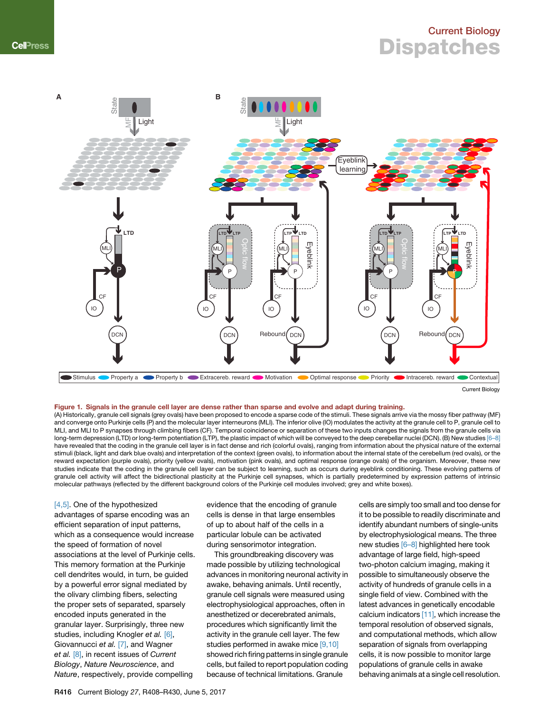### Current Biology **Dispatches**

<span id="page-1-0"></span>

Current Biology

#### Figure 1. Signals in the granule cell layer are dense rather than sparse and evolve and adapt during training.

(A) Historically, granule cell signals (grey ovals) have been proposed to encode a sparse code of the stimuli. These signals arrive via the mossy fiber pathway (MF) and converge onto Purkinje cells (P) and the molecular layer interneurons (MLI). The inferior olive (IO) modulates the activity at the granule cell to P, granule cell to MLI, and MLI to P synapses through climbing fibers (CF). Temporal coincidence or separation of these two inputs changes the signals from the granule cells via long-term depression (LTD) or long-term potentiation (LTP), the plastic impact of which will be conveyed to the deep cerebellar nuclei (DCN). (B) New studies [6-8] have revealed that the coding in the granule cell layer is in fact dense and rich (colorful ovals), ranging from information about the physical nature of the external stimuli (black, light and dark blue ovals) and interpretation of the context (green ovals), to information about the internal state of the cerebellum (red ovals), or the reward expectation (purple ovals), priority (yellow ovals), motivation (pink ovals), and optimal response (orange ovals) of the organism. Moreover, these new studies indicate that the coding in the granule cell layer can be subject to learning, such as occurs during eyeblink conditioning. These evolving patterns of granule cell activity will affect the bidirectional plasticity at the Purkinje cell synapses, which is partially predetermined by expression patterns of intrinsic molecular pathways (reflected by the different background colors of the Purkinje cell modules involved; grey and white boxes).

[\[4,5\].](#page-3-2) One of the hypothesized advantages of sparse encoding was an efficient separation of input patterns, which as a consequence would increase the speed of formation of novel associations at the level of Purkinje cells. This memory formation at the Purkinje cell dendrites would, in turn, be guided by a powerful error signal mediated by the olivary climbing fibers, selecting the proper sets of separated, sparsely encoded inputs generated in the granular layer. Surprisingly, three new studies, including Knogler *et al.* [\[6\],](#page-3-3) Giovannucci *et al.* [\[7\],](#page-3-4) and Wagner *et al.* [\[8\]](#page-3-5), in recent issues of *Current Biology*, *Nature Neuroscience*, and *Nature*, respectively, provide compelling

evidence that the encoding of granule cells is dense in that large ensembles of up to about half of the cells in a particular lobule can be activated during sensorimotor integration.

This groundbreaking discovery was made possible by utilizing technological advances in monitoring neuronal activity in awake, behaving animals. Until recently, granule cell signals were measured using electrophysiological approaches, often in anesthetized or decerebrated animals, procedures which significantly limit the activity in the granule cell layer. The few studies performed in awake mice [\[9,10\]](#page-3-6) showed rich firing patterns in single granule cells, but failed to report population coding because of technical limitations. Granule

cells are simply too small and too dense for it to be possible to readily discriminate and identify abundant numbers of single-units by electrophysiological means. The three new studies [\[6–8\]](#page-3-3) highlighted here took advantage of large field, high-speed two-photon calcium imaging, making it possible to simultaneously observe the activity of hundreds of granule cells in a single field of view. Combined with the latest advances in genetically encodable calcium indicators [\[11\],](#page-3-7) which increase the temporal resolution of observed signals, and computational methods, which allow separation of signals from overlapping cells, it is now possible to monitor large populations of granule cells in awake behaving animals at a single cell resolution.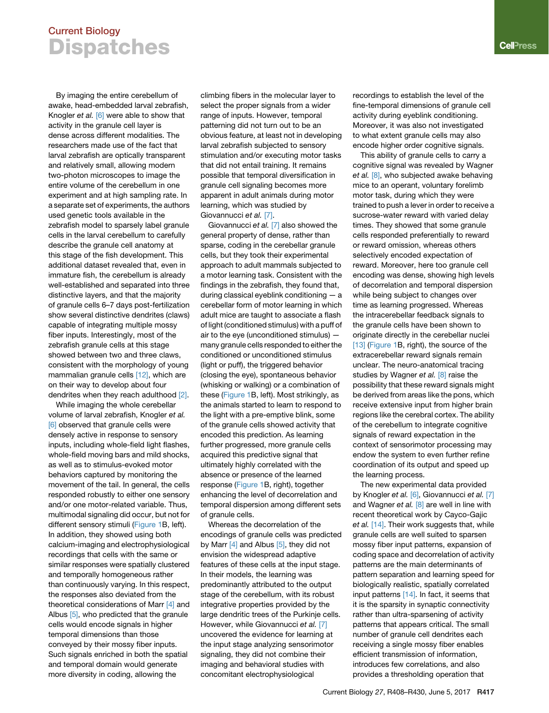### Current Biology **Dispatches**

By imaging the entire cerebellum of awake, head-embedded larval zebrafish, Knogler *et al.* [\[6\]](#page-3-3) were able to show that activity in the granule cell layer is dense across different modalities. The researchers made use of the fact that larval zebrafish are optically transparent and relatively small, allowing modern two-photon microscopes to image the entire volume of the cerebellum in one experiment and at high sampling rate. In a separate set of experiments, the authors used genetic tools available in the zebrafish model to sparsely label granule cells in the larval cerebellum to carefully describe the granule cell anatomy at this stage of the fish development. This additional dataset revealed that, even in immature fish, the cerebellum is already well-established and separated into three distinctive layers, and that the majority of granule cells 6–7 days post-fertilization show several distinctive dendrites (claws) capable of integrating multiple mossy fiber inputs. Interestingly, most of the zebrafish granule cells at this stage showed between two and three claws, consistent with the morphology of young mammalian granule cells [\[12\],](#page-3-8) which are on their way to develop about four dendrites when they reach adulthood [\[2\].](#page-3-1)

While imaging the whole cerebellar volume of larval zebrafish, Knogler *et al.* [\[6\]](#page-3-3) observed that granule cells were densely active in response to sensory inputs, including whole-field light flashes, whole-field moving bars and mild shocks, as well as to stimulus-evoked motor behaviors captured by monitoring the movement of the tail. In general, the cells responded robustly to either one sensory and/or one motor-related variable. Thus, multimodal signaling did occur, but not for different sensory stimuli ([Figure 1](#page-1-0)B, left). In addition, they showed using both calcium-imaging and electrophysiological recordings that cells with the same or similar responses were spatially clustered and temporally homogeneous rather than continuously varying. In this respect, the responses also deviated from the theoretical considerations of Marr [\[4\]](#page-3-2) and Albus [\[5\],](#page-3-9) who predicted that the granule cells would encode signals in higher temporal dimensions than those conveyed by their mossy fiber inputs. Such signals enriched in both the spatial and temporal domain would generate more diversity in coding, allowing the

climbing fibers in the molecular layer to select the proper signals from a wider range of inputs. However, temporal patterning did not turn out to be an obvious feature, at least not in developing larval zebrafish subjected to sensory stimulation and/or executing motor tasks that did not entail training. It remains possible that temporal diversification in granule cell signaling becomes more apparent in adult animals during motor learning, which was studied by Giovannucci *et al.* [\[7\].](#page-3-4)

Giovannucci *et al.* [\[7\]](#page-3-4) also showed the general property of dense, rather than sparse, coding in the cerebellar granule cells, but they took their experimental approach to adult mammals subjected to a motor learning task. Consistent with the findings in the zebrafish, they found that, during classical eyeblink conditioning — a cerebellar form of motor learning in which adult mice are taught to associate a flash of light (conditioned stimulus) with a puff of air to the eye (unconditioned stimulus) many granule cells responded to either the conditioned or unconditioned stimulus (light or puff), the triggered behavior (closing the eye), spontaneous behavior (whisking or walking) or a combination of these ([Figure 1B](#page-1-0), left). Most strikingly, as the animals started to learn to respond to the light with a pre-emptive blink, some of the granule cells showed activity that encoded this prediction. As learning further progressed, more granule cells acquired this predictive signal that ultimately highly correlated with the absence or presence of the learned response ([Figure 1](#page-1-0)B, right), together enhancing the level of decorrelation and temporal dispersion among different sets of granule cells.

Whereas the decorrelation of the encodings of granule cells was predicted by Marr  $[4]$  and Albus  $[5]$ , they did not envision the widespread adaptive features of these cells at the input stage. In their models, the learning was predominantly attributed to the output stage of the cerebellum, with its robust integrative properties provided by the large dendritic trees of the Purkinje cells. However, while Giovannucci *et al.* [\[7\]](#page-3-4) uncovered the evidence for learning at the input stage analyzing sensorimotor signaling, they did not combine their imaging and behavioral studies with concomitant electrophysiological

recordings to establish the level of the fine-temporal dimensions of granule cell activity during eyeblink conditioning. Moreover, it was also not investigated to what extent granule cells may also encode higher order cognitive signals.

This ability of granule cells to carry a cognitive signal was revealed by Wagner *et al.* [\[8\],](#page-3-5) who subjected awake behaving mice to an operant, voluntary forelimb motor task, during which they were trained to push a lever in order to receive a sucrose-water reward with varied delay times. They showed that some granule cells responded preferentially to reward or reward omission, whereas others selectively encoded expectation of reward. Moreover, here too granule cell encoding was dense, showing high levels of decorrelation and temporal dispersion while being subject to changes over time as learning progressed. Whereas the intracerebellar feedback signals to the granule cells have been shown to originate directly in the cerebellar nuclei [\[13\]](#page-3-10) [\(Figure 1B](#page-1-0), right), the source of the extracerebellar reward signals remain unclear. The neuro-anatomical tracing studies by Wagner *et al.* [\[8\]](#page-3-5) raise the possibility that these reward signals might be derived from areas like the pons, which receive extensive input from higher brain regions like the cerebral cortex. The ability of the cerebellum to integrate cognitive signals of reward expectation in the context of sensorimotor processing may endow the system to even further refine coordination of its output and speed up the learning process.

The new experimental data provided by Knogler *et al.* [\[6\]](#page-3-3), Giovannucci *et al.* [\[7\]](#page-3-4) and Wagner *et al.* [\[8\]](#page-3-5) are well in line with recent theoretical work by Cayco-Gajic *et al.* [\[14\].](#page-3-11) Their work suggests that, while granule cells are well suited to sparsen mossy fiber input patterns, expansion of coding space and decorrelation of activity patterns are the main determinants of pattern separation and learning speed for biologically realistic, spatially correlated input patterns [\[14\]](#page-3-11). In fact, it seems that it is the sparsity in synaptic connectivity rather than ultra-sparsening of activity patterns that appears critical. The small number of granule cell dendrites each receiving a single mossy fiber enables efficient transmission of information, introduces few correlations, and also provides a thresholding operation that